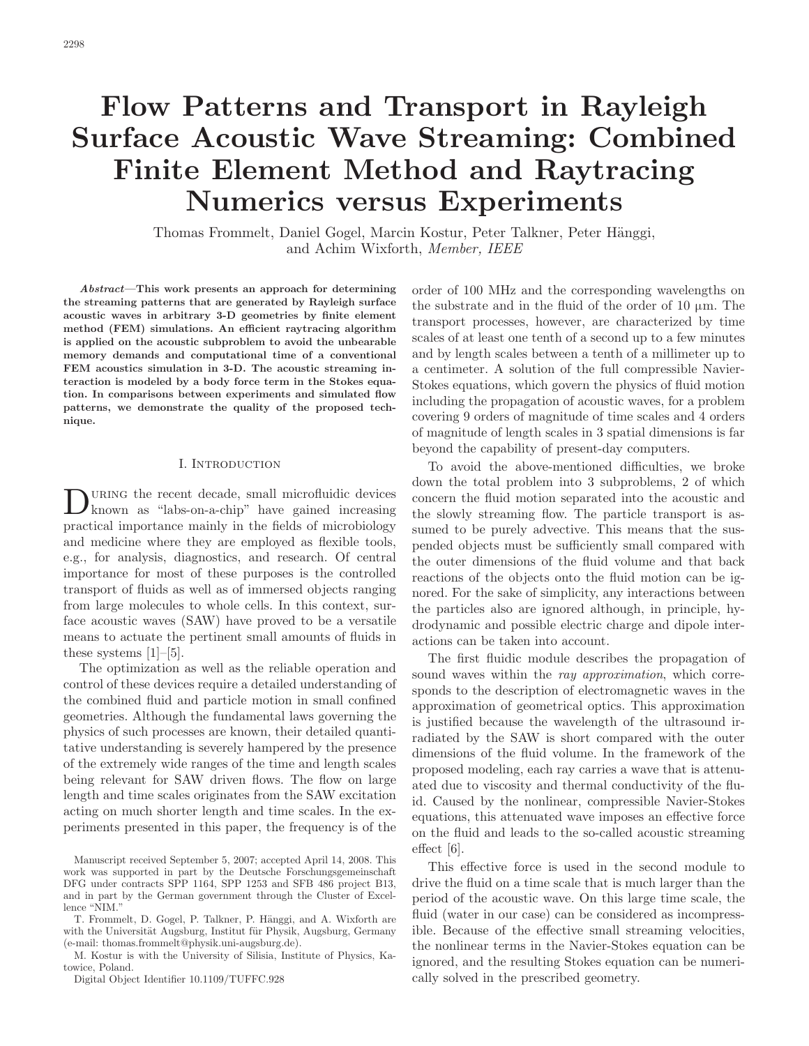# **Flow Patterns and Transport in Rayleigh Surface Acoustic Wave Streaming: Combined Finite Element Method and Raytracing Numerics versus Experiments**

Thomas Frommelt, daniel Gogel, Marcin Kostur, Peter Talkner, Peter Hänggi, and achim Wixforth, *Member, IEEE*

*Abstract—***This work presents an approach for determining the streaming patterns that are generated by Rayleigh surface acoustic waves in arbitrary 3-D geometries by finite element method (FEM) simulations. An efficient raytracing algorithm is applied on the acoustic subproblem to avoid the unbearable memory demands and computational time of a conventional FEM acoustics simulation in 3-D. The acoustic streaming interaction is modeled by a body force term in the Stokes equation. In comparisons between experiments and simulated flow patterns, we demonstrate the quality of the proposed technique.**

### I. Introduction

 $\begin{minipage}{.4\linewidth} \begin{tabular}{l} \multicolumn{1}{l}{} & \multicolumn{1}{l}{} \\ \multicolumn{1}{l}{} & \multicolumn{1}{l}{} \\ \multicolumn{1}{l}{} & \multicolumn{1}{l}{} \\ \multicolumn{1}{l}{} & \multicolumn{1}{l}{} \\ \multicolumn{1}{l}{} & \multicolumn{1}{l}{} \\ \multicolumn{1}{l}{} & \multicolumn{1}{l}{} \\ \multicolumn{1}{l}{} & \multicolumn{1}{l}{} \\ \multicolumn{1}{l}{} & \multicolumn{1}{l}{} \\ \multicolumn{1}{l}{} & \multicolumn{1}{l}{} \\ \mult$ known as "labs-on-a-chip" have gained increasing practical importance mainly in the fields of microbiology and medicine where they are employed as flexible tools, e.g., for analysis, diagnostics, and research. of central importance for most of these purposes is the controlled transport of fluids as well as of immersed objects ranging from large molecules to whole cells. In this context, surface acoustic waves (SAW) have proved to be a versatile means to actuate the pertinent small amounts of fluids in these systems [1]–[5].

The optimization as well as the reliable operation and control of these devices require a detailed understanding of the combined fluid and particle motion in small confined geometries. although the fundamental laws governing the physics of such processes are known, their detailed quantitative understanding is severely hampered by the presence of the extremely wide ranges of the time and length scales being relevant for SAW driven flows. The flow on large length and time scales originates from the SAW excitation acting on much shorter length and time scales. In the experiments presented in this paper, the frequency is of the

M. Kostur is with the University of silisia, Institute of Physics, Katowice, Poland.

Digital Object Identifier 10.1109/TUFFC.928

order of 100 MHz and the corresponding wavelengths on the substrate and in the fluid of the order of 10  $\mu$ m. The transport processes, however, are characterized by time scales of at least one tenth of a second up to a few minutes and by length scales between a tenth of a millimeter up to a centimeter. A solution of the full compressible Navierstokes equations, which govern the physics of fluid motion including the propagation of acoustic waves, for a problem covering 9 orders of magnitude of time scales and 4 orders of magnitude of length scales in 3 spatial dimensions is far beyond the capability of present-day computers.

To avoid the above-mentioned difficulties, we broke down the total problem into 3 subproblems, 2 of which concern the fluid motion separated into the acoustic and the slowly streaming flow. The particle transport is assumed to be purely advective. This means that the suspended objects must be sufficiently small compared with the outer dimensions of the fluid volume and that back reactions of the objects onto the fluid motion can be ignored. For the sake of simplicity, any interactions between the particles also are ignored although, in principle, hydrodynamic and possible electric charge and dipole interactions can be taken into account.

The first fluidic module describes the propagation of sound waves within the *ray approximation*, which corresponds to the description of electromagnetic waves in the approximation of geometrical optics. This approximation is justified because the wavelength of the ultrasound irradiated by the SAW is short compared with the outer dimensions of the fluid volume. In the framework of the proposed modeling, each ray carries a wave that is attenuated due to viscosity and thermal conductivity of the fluid. Caused by the nonlinear, compressible Navier-Stokes equations, this attenuated wave imposes an effective force on the fluid and leads to the so-called acoustic streaming effect [6].

This effective force is used in the second module to drive the fluid on a time scale that is much larger than the period of the acoustic wave. On this large time scale, the fluid (water in our case) can be considered as incompressible. because of the effective small streaming velocities, the nonlinear terms in the Navier-Stokes equation can be ignored, and the resulting Stokes equation can be numerically solved in the prescribed geometry.

Manuscript received September 5, 2007; accepted April 14, 2008. This work was supported in part by the Deutsche Forschungsgemeinschaft DFG under contracts SPP 1164, SPP 1253 and SFB 486 project B13, and in part by the German government through the cluster of Excellence "NIM."

T. Frommelt, D. Gogel, P. Talkner, P. Hänggi, and A. Wixforth are with the Universität Augsburg, Institut für Physik, Augsburg, Germany (e-mail: thomas.frommelt@physik.uni-augsburg.de).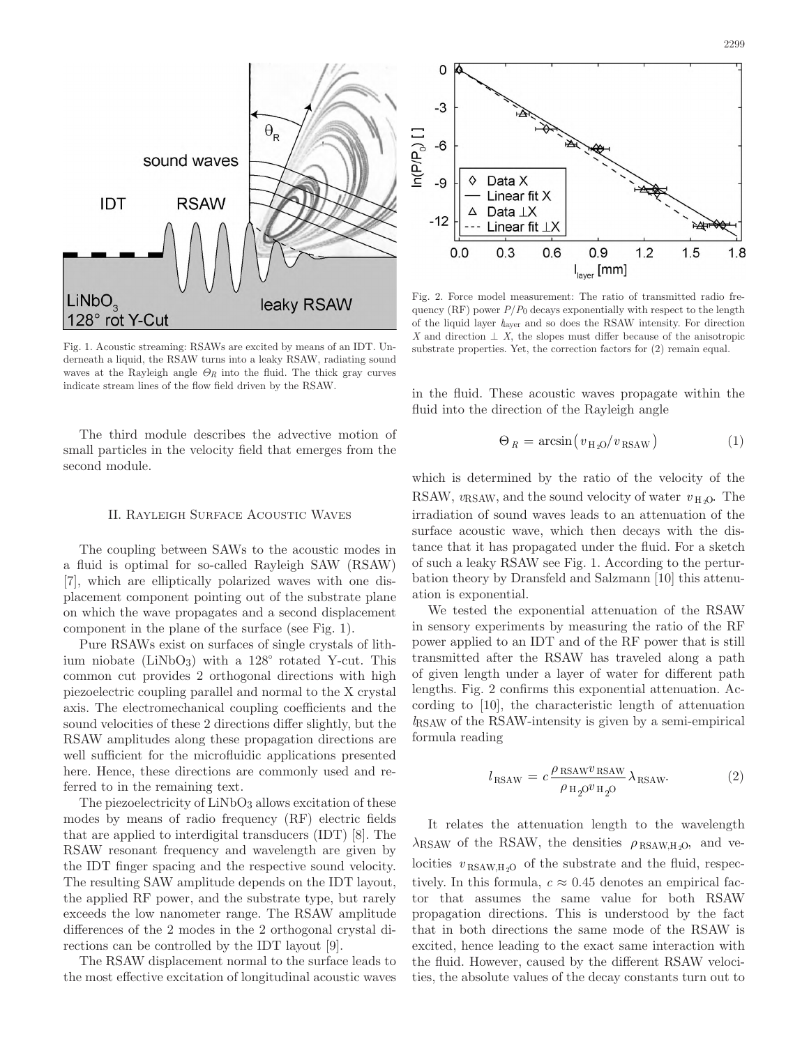

Fig. 1. Acoustic streaming: RSAWs are excited by means of an IDT. Underneath a liquid, the RSAW turns into a leaky RSAW, radiating sound waves at the Rayleigh angle  $\Theta_R$  into the fluid. The thick gray curves indicate stream lines of the flow field driven by the RSAW.

The third module describes the advective motion of small particles in the velocity field that emerges from the second module.

### II. RAYLEIGH SURFACE ACOUSTIC WAVES

The coupling between SAWs to the acoustic modes in a fluid is optimal for so-called Rayleigh SAW (RSAW) [7], which are elliptically polarized waves with one displacement component pointing out of the substrate plane on which the wave propagates and a second displacement component in the plane of the surface (see Fig. 1).

Pure RSAWs exist on surfaces of single crystals of lithium niobate (LiNbO<sub>3</sub>) with a  $128^\circ$  rotated Y-cut. This common cut provides 2 orthogonal directions with high piezoelectric coupling parallel and normal to the X crystal axis. The electromechanical coupling coefficients and the sound velocities of these 2 directions differ slightly, but the RSAW amplitudes along these propagation directions are well sufficient for the microfluidic applications presented here. Hence, these directions are commonly used and referred to in the remaining text.

The piezoelectricity of LiNbO<sub>3</sub> allows excitation of these modes by means of radio frequency  $(RF)$  electric fields that are applied to interdigital transducers  $(IDT)$  [8]. The RSAW resonant frequency and wavelength are given by the IDT finger spacing and the respective sound velocity. The resulting SAW amplitude depends on the IDT layout, the applied RF power, and the substrate type, but rarely exceeds the low nanometer range. The RSAW amplitude differences of the 2 modes in the 2 orthogonal crystal directions can be controlled by the IDT layout [9].

The RSAW displacement normal to the surface leads to the most effective excitation of longitudinal acoustic waves



Fig. 2. Force model measurement: The ratio of transmitted radio frequency  $(RF)$  power  $P/P_0$  decays exponentially with respect to the length of the liquid layer  $l_{\text{layer}}$  and so does the RSAW intensity. For direction *X* and direction  $\bot$  *X*, the slopes must differ because of the anisotropic substrate properties. Yet, the correction factors for  $(2)$  remain equal.

in the fluid. These acoustic waves propagate within the fluid into the direction of the Rayleigh angle

$$
\Theta_R = \arcsin(v_{\rm H_2O}/v_{\rm RSAW}) \tag{1}
$$

which is determined by the ratio of the velocity of the RSAW,  $v_{\text{RSAW}}$ , and the sound velocity of water  $v_{\text{H}_2O}$ . The irradiation of sound waves leads to an attenuation of the surface acoustic wave, which then decays with the distance that it has propagated under the fluid. For a sketch of such a leaky RSAW see Fig. 1. According to the perturbation theory by Dransfeld and Salzmann [10] this attenuation is exponential.

We tested the exponential attenuation of the RSAW in sensory experiments by measuring the ratio of the RF power applied to an IDT and of the RF power that is still transmitted after the RSAW has traveled along a path of given length under a layer of water for different path lengths. Fig. 2 confirms this exponential attenuation. According to [10], the characteristic length of attenuation *l*<sub>RSAW</sub> of the RSAW-intensity is given by a semi-empirical formula reading

$$
l_{\text{RSAW}} = c \frac{\rho_{\text{RSAW}v_{\text{RSAW}}}}{\rho_{\text{H}_2\text{O}} v_{\text{H}_2\text{O}}} \lambda_{\text{RSAW}}.
$$
 (2)

It relates the attenuation length to the wavelength  $\lambda$ <sub>RSAW</sub> of the RSAW, the densities  $\rho_{\text{RSAW,H}_2O}$ , and velocities  $v_{\text{RSAW,H}_2O}$  of the substrate and the fluid, respectively. In this formula,  $c \approx 0.45$  denotes an empirical factor that assumes the same value for both RSAW propagation directions. This is understood by the fact that in both directions the same mode of the RSAW is excited, hence leading to the exact same interaction with the fluid. However, caused by the different RSAW velocities, the absolute values of the decay constants turn out to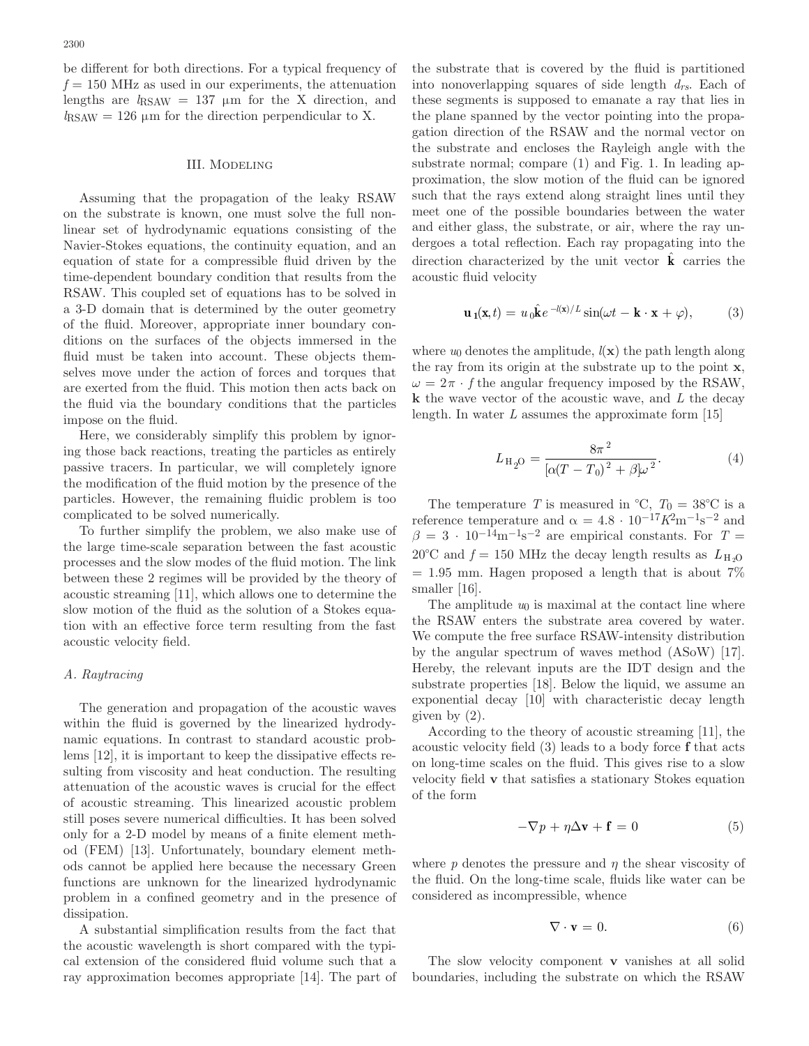be different for both directions. For a typical frequency of  $f = 150$  MHz as used in our experiments, the attenuation lengths are  $l_{\text{RSAW}} = 137 \mu m$  for the X direction, and  $l_{\text{RSAW}} = 126 \mu m$  for the direction perpendicular to X.

#### III. Modeling

Assuming that the propagation of the leaky RSAW on the substrate is known, one must solve the full nonlinear set of hydrodynamic equations consisting of the Navier-Stokes equations, the continuity equation, and an equation of state for a compressible fluid driven by the time-dependent boundary condition that results from the RSAW. This coupled set of equations has to be solved in a 3-D domain that is determined by the outer geometry of the fluid. Moreover, appropriate inner boundary conditions on the surfaces of the objects immersed in the fluid must be taken into account. These objects themselves move under the action of forces and torques that are exerted from the fluid. This motion then acts back on the fluid via the boundary conditions that the particles impose on the fluid.

Here, we considerably simplify this problem by ignoring those back reactions, treating the particles as entirely passive tracers. In particular, we will completely ignore the modification of the fluid motion by the presence of the particles. However, the remaining fluidic problem is too complicated to be solved numerically.

To further simplify the problem, we also make use of the large time-scale separation between the fast acoustic processes and the slow modes of the fluid motion. The link between these 2 regimes will be provided by the theory of acoustic streaming [11], which allows one to determine the slow motion of the fluid as the solution of a Stokes equation with an effective force term resulting from the fast acoustic velocity field.

#### *A. Raytracing*

The generation and propagation of the acoustic waves within the fluid is governed by the linearized hydrodynamic equations. In contrast to standard acoustic problems [12], it is important to keep the dissipative effects resulting from viscosity and heat conduction. The resulting attenuation of the acoustic waves is crucial for the effect of acoustic streaming. This linearized acoustic problem still poses severe numerical difficulties. It has been solved only for a 2-D model by means of a finite element method (FEM) [13]. Unfortunately, boundary element methods cannot be applied here because the necessary Green functions are unknown for the linearized hydrodynamic problem in a confined geometry and in the presence of dissipation.

a substantial simplification results from the fact that the acoustic wavelength is short compared with the typical extension of the considered fluid volume such that a ray approximation becomes appropriate [14]. The part of the substrate that is covered by the fluid is partitioned into nonoverlapping squares of side length *drs*. Each of these segments is supposed to emanate a ray that lies in the plane spanned by the vector pointing into the propagation direction of the RSAW and the normal vector on the substrate and encloses the Rayleigh angle with the substrate normal; compare (1) and Fig. 1. In leading approximation, the slow motion of the fluid can be ignored such that the rays extend along straight lines until they meet one of the possible boundaries between the water and either glass, the substrate, or air, where the ray undergoes a total reflection. Each ray propagating into the direction characterized by the unit vector  $\hat{\mathbf{k}}$  carries the acoustic fluid velocity

$$
\mathbf{u}_1(\mathbf{x},t) = u_0 \hat{\mathbf{k}} e^{-l(\mathbf{x})/L} \sin(\omega t - \mathbf{k} \cdot \mathbf{x} + \varphi), \quad (3)
$$

where  $u_0$  denotes the amplitude,  $l(\mathbf{x})$  the path length along the ray from its origin at the substrate up to the point **x**,  $\omega = 2\pi \cdot f$  the angular frequency imposed by the RSAW, **k** the wave vector of the acoustic wave, and *L* the decay length. In water *L* assumes the approximate form [15]

$$
L_{\rm H_2O} = \frac{8\pi^2}{[\alpha(T - T_0)^2 + \beta]\omega^2}.
$$
 (4)

The temperature *T* is measured in  ${}^{\circ}C$ ,  $T_0 = 38 {}^{\circ}C$  is a reference temperature and  $\alpha = 4.8 \cdot 10^{-17} K^2 m^{-1} s^{-2}$  and  $\beta = 3 \cdot 10^{-14} \text{m}^{-1} \text{s}^{-2}$  are empirical constants. For  $T =$ 20°C and  $f = 150$  MHz the decay length results as  $L_{H_2O}$  $= 1.95$  mm. Hagen proposed a length that is about 7% smaller [16].

The amplitude *u*0 is maximal at the contact line where the RSAW enters the substrate area covered by water. We compute the free surface RSAW-intensity distribution by the angular spectrum of waves method  $(ASoW)$  [17]. Hereby, the relevant inputs are the IDT design and the substrate properties [18]. Below the liquid, we assume an exponential decay [10] with characteristic decay length given by  $(2)$ .

according to the theory of acoustic streaming [11], the acoustic velocity field (3) leads to a body force **f** that acts on long-time scales on the fluid. This gives rise to a slow velocity field **v** that satisfies a stationary Stokes equation of the form

$$
-\nabla p + \eta \Delta \mathbf{v} + \mathbf{f} = 0 \tag{5}
$$

where  $p$  denotes the pressure and  $q$  the shear viscosity of the fluid. on the long-time scale, fluids like water can be considered as incompressible, whence

$$
\nabla \cdot \mathbf{v} = 0. \tag{6}
$$

The slow velocity component **v** vanishes at all solid boundaries, including the substrate on which the RSAW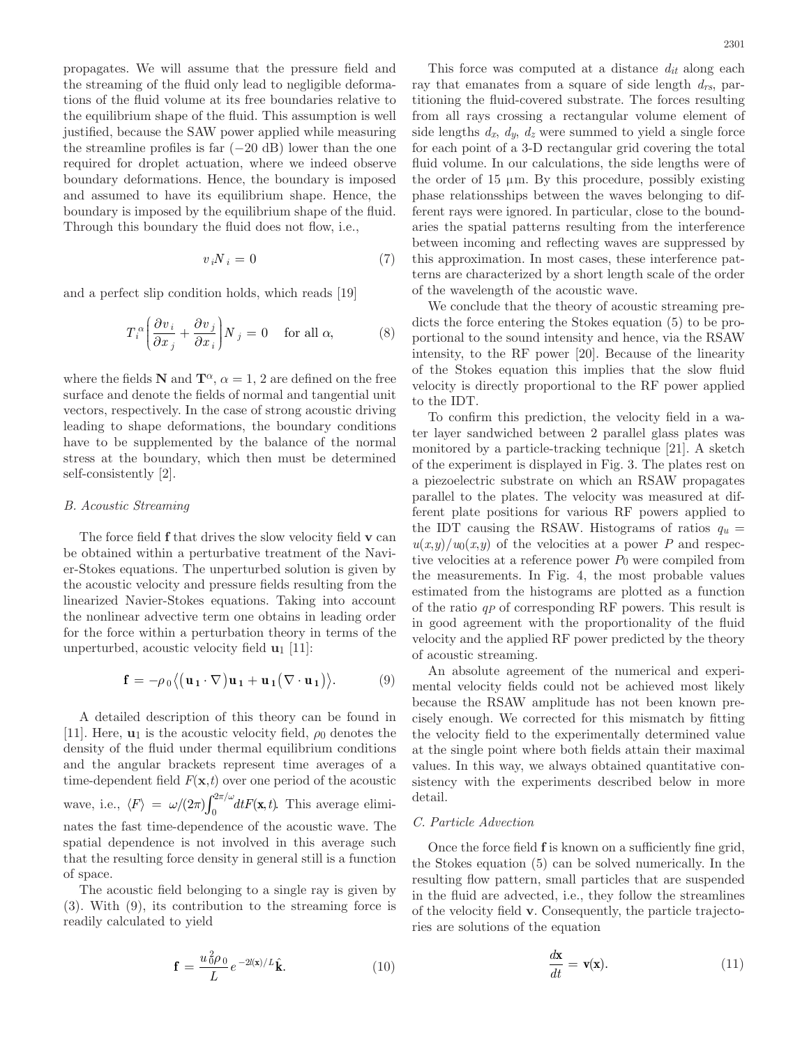propagates. We will assume that the pressure field and the streaming of the fluid only lead to negligible deformations of the fluid volume at its free boundaries relative to the equilibrium shape of the fluid. This assumption is well justified, because the SAW power applied while measuring the streamline profiles is far  $(-20 \text{ dB})$  lower than the one required for droplet actuation, where we indeed observe boundary deformations. Hence, the boundary is imposed and assumed to have its equilibrium shape. Hence, the boundary is imposed by the equilibrium shape of the fluid. Through this boundary the fluid does not flow, i.e.,

$$
v_i N_i = 0 \tag{7}
$$

and a perfect slip condition holds, which reads [19]

$$
T_i^{\alpha} \left( \frac{\partial v_i}{\partial x_j} + \frac{\partial v_j}{\partial x_i} \right) N_j = 0 \quad \text{for all } \alpha,
$$
 (8)

where the fields **N** and  $\mathbf{T}^{\alpha}$ ,  $\alpha = 1$ , 2 are defined on the free surface and denote the fields of normal and tangential unit vectors, respectively. In the case of strong acoustic driving leading to shape deformations, the boundary conditions have to be supplemented by the balance of the normal stress at the boundary, which then must be determined self-consistently [2].

### *B. Acoustic Streaming*

The force field **f** that drives the slow velocity field **v** can be obtained within a perturbative treatment of the Navier-stokes equations. The unperturbed solution is given by the acoustic velocity and pressure fields resulting from the linearized Navier-Stokes equations. Taking into account the nonlinear advective term one obtains in leading order for the force within a perturbation theory in terms of the unperturbed, acoustic velocity field **u**1 [11]:

$$
\mathbf{f} = -\rho_0 \langle (\mathbf{u}_1 \cdot \nabla) \mathbf{u}_1 + \mathbf{u}_1 (\nabla \cdot \mathbf{u}_1) \rangle.
$$
 (9)

a detailed description of this theory can be found in [11]. Here,  $\mathbf{u}_1$  is the acoustic velocity field,  $\rho_0$  denotes the density of the fluid under thermal equilibrium conditions and the angular brackets represent time averages of a time-dependent field  $F(\mathbf{x},t)$  over one period of the acoustic wave, i.e.,  $\langle F \rangle = \omega/(2\pi) \int_0^{2\pi/\omega} dt F(\mathbf{x}, t)$  $\int_0^{2\pi/\omega} dt F(\mathbf{x}, t)$ . This average eliminates the fast time-dependence of the acoustic wave. The spatial dependence is not involved in this average such that the resulting force density in general still is a function of space.

The acoustic field belonging to a single ray is given by (3). With (9), its contribution to the streaming force is readily calculated to yield

$$
\mathbf{f} = \frac{u_0^2 \rho_0}{L} e^{-2l(\mathbf{x})/L} \hat{\mathbf{k}}.
$$
 (10)

This force was computed at a distance *dit* along each ray that emanates from a square of side length *drs*, partitioning the fluid-covered substrate. The forces resulting from all rays crossing a rectangular volume element of side lengths  $d_x$ ,  $d_y$ ,  $d_z$  were summed to yield a single force for each point of a 3-D rectangular grid covering the total fluid volume. In our calculations, the side lengths were of the order of  $15 \mu m$ . By this procedure, possibly existing phase relationsships between the waves belonging to different rays were ignored. In particular, close to the boundaries the spatial patterns resulting from the interference between incoming and reflecting waves are suppressed by this approximation. In most cases, these interference patterns are characterized by a short length scale of the order of the wavelength of the acoustic wave.

We conclude that the theory of acoustic streaming predicts the force entering the Stokes equation (5) to be proportional to the sound intensity and hence, via the RSAW intensity, to the RF power  $[20]$ . Because of the linearity of the stokes equation this implies that the slow fluid velocity is directly proportional to the RF power applied to the IDT.

To confirm this prediction, the velocity field in a water layer sandwiched between 2 parallel glass plates was monitored by a particle-tracking technique [21]. A sketch of the experiment is displayed in Fig. 3. The plates rest on a piezoelectric substrate on which an RSAW propagates parallel to the plates. The velocity was measured at different plate positions for various RF powers applied to the IDT causing the RSAW. Histograms of ratios  $q_u$  =  $u(x,y)/u_0(x,y)$  of the velocities at a power *P* and respective velocities at a reference power *P*0 were compiled from the measurements. In Fig. 4, the most probable values estimated from the histograms are plotted as a function of the ratio  $q$ *P* of corresponding RF powers. This result is in good agreement with the proportionality of the fluid velocity and the applied RF power predicted by the theory of acoustic streaming.

An absolute agreement of the numerical and experimental velocity fields could not be achieved most likely because the RSAW amplitude has not been known precisely enough. We corrected for this mismatch by fitting the velocity field to the experimentally determined value at the single point where both fields attain their maximal values. In this way, we always obtained quantitative consistency with the experiments described below in more detail.

#### *C. Particle Advection*

Once the force field **f** is known on a sufficiently fine grid, the stokes equation (5) can be solved numerically. In the resulting flow pattern, small particles that are suspended in the fluid are advected, i.e., they follow the streamlines of the velocity field **v**. consequently, the particle trajectories are solutions of the equation

$$
\frac{d\mathbf{x}}{dt} = \mathbf{v}(\mathbf{x}).\tag{11}
$$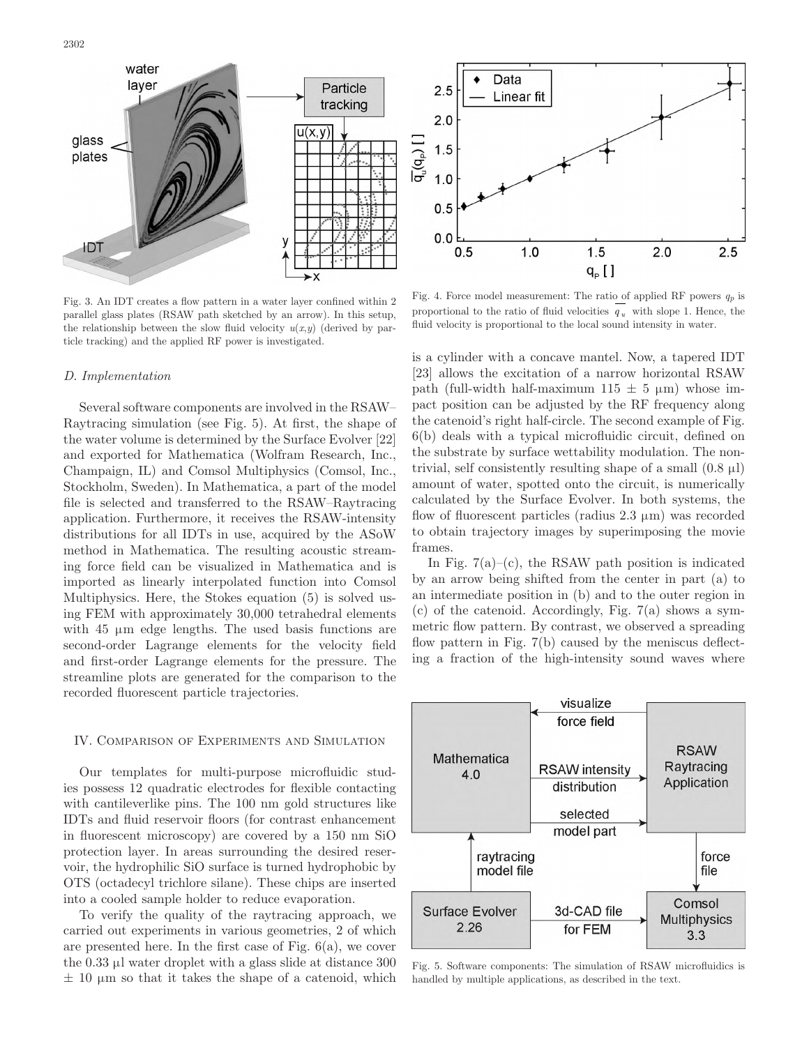

Fig. 3. An IDT creates a flow pattern in a water layer confined within 2 parallel glass plates (RSAW path sketched by an arrow). In this setup, the relationship between the slow fluid velocity  $u(x,y)$  (derived by particle tracking) and the applied RF power is investigated.

#### *D. Implementation*

Several software components are involved in the RSAW– Raytracing simulation (see Fig. 5). At first, the shape of the water volume is determined by the Surface Evolver [22] and exported for Mathematica (Wolfram Research, Inc., champaign, Il) and comsol Multiphysics (comsol, Inc., stockholm, sweden). In Mathematica, a part of the model file is selected and transferred to the RSAW–Raytracing application. Furthermore, it receives the RSAW-intensity distributions for all IDTs in use, acquired by the ASoW method in Mathematica. The resulting acoustic streaming force field can be visualized in Mathematica and is imported as linearly interpolated function into comsol Multiphysics. Here, the Stokes equation (5) is solved using FEM with approximately 30,000 tetrahedral elements with 45 μm edge lengths. The used basis functions are second-order lagrange elements for the velocity field and first-order lagrange elements for the pressure. The streamline plots are generated for the comparison to the recorded fluorescent particle trajectories.

### IV. COMPARISON OF EXPERIMENTS AND SIMULATION

Our templates for multi-purpose microfluidic studies possess 12 quadratic electrodes for flexible contacting with cantileverlike pins. The 100 nm gold structures like IDTs and fluid reservoir floors (for contrast enhancement in fluorescent microscopy) are covered by a 150 nm SiO protection layer. In areas surrounding the desired reservoir, the hydrophilic sio surface is turned hydrophobic by oTs (octadecyl trichlore silane). These chips are inserted into a cooled sample holder to reduce evaporation.

To verify the quality of the raytracing approach, we carried out experiments in various geometries, 2 of which are presented here. In the first case of Fig. 6(a), we cover the 0.33 μl water droplet with a glass slide at distance 300  $\pm$  10  $\mu$ m so that it takes the shape of a catenoid, which



Fig. 4. Force model measurement: The ratio of applied RF powers  $q_p$  is proportional to the ratio of fluid velocities  $q<sub>u</sub>$  with slope 1. Hence, the fluid velocity is proportional to the local sound intensity in water.

is a cylinder with a concave mantel. Now, a tapered IDT [23] allows the excitation of a narrow horizontal RSAW path (full-width half-maximum  $115 \pm 5 \mu$ m) whose impact position can be adjusted by the RF frequency along the catenoid's right half-circle. The second example of Fig. 6(b) deals with a typical microfluidic circuit, defined on the substrate by surface wettability modulation. The nontrivial, self consistently resulting shape of a small  $(0.8 \mu I)$ amount of water, spotted onto the circuit, is numerically calculated by the surface Evolver. In both systems, the flow of fluorescent particles (radius  $2.3 \mu m$ ) was recorded to obtain trajectory images by superimposing the movie frames.

In Fig.  $7(a)$ –(c), the RSAW path position is indicated by an arrow being shifted from the center in part (a) to an intermediate position in (b) and to the outer region in  $(c)$  of the catenoid. Accordingly, Fig. 7(a) shows a symmetric flow pattern. by contrast, we observed a spreading flow pattern in Fig. 7(b) caused by the meniscus deflecting a fraction of the high-intensity sound waves where



Fig. 5. Software components: The simulation of RSAW microfluidics is handled by multiple applications, as described in the text.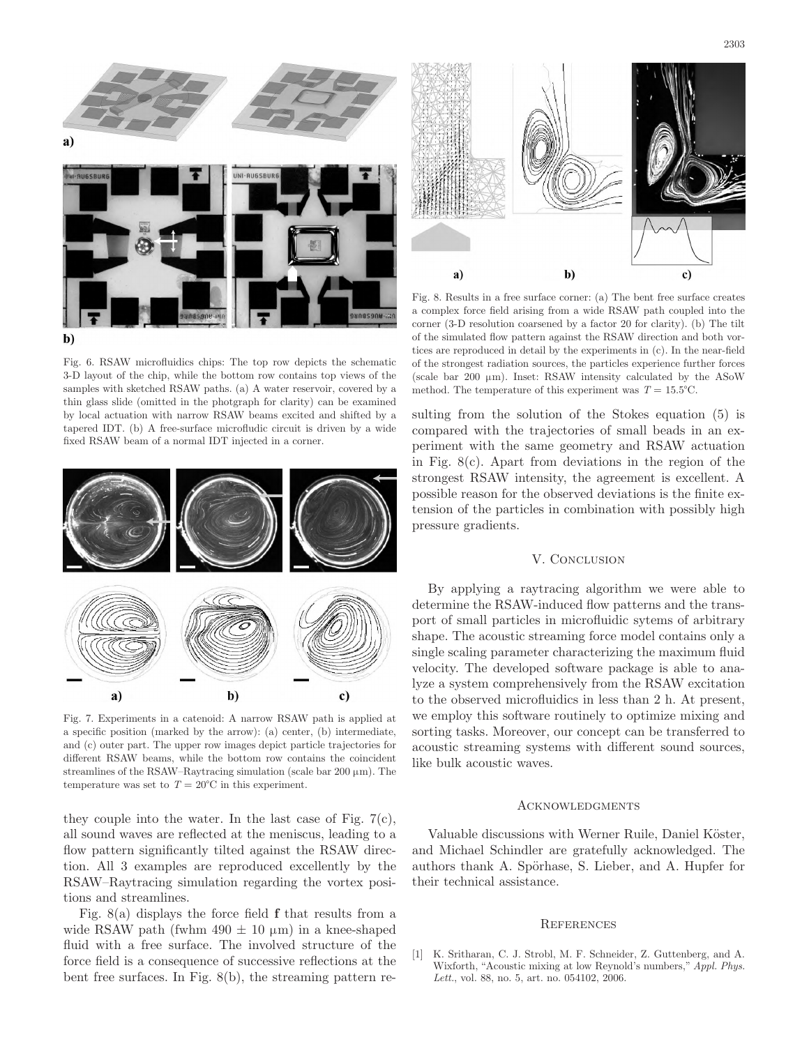

Fig. 6. RSAW microfluidics chips: The top row depicts the schematic 3-D layout of the chip, while the bottom row contains top views of the samples with sketched RSAW paths. (a) A water reservoir, covered by a thin glass slide (omitted in the photgraph for clarity) can be examined by local actuation with narrow RSAW beams excited and shifted by a tapered IDT. (b) A free-surface microfludic circuit is driven by a wide fixed RSAW beam of a normal IDT injected in a corner.



Fig. 7. Experiments in a catenoid: A narrow RSAW path is applied at a specific position (marked by the arrow): (a) center, (b) intermediate, and (c) outer part. The upper row images depict particle trajectories for different RSAW beams, while the bottom row contains the coincident streamlines of the RSAW–Raytracing simulation (scale bar  $200 \mu m$ ). The temperature was set to  $T = 20^{\circ}$ C in this experiment.

they couple into the water. In the last case of Fig.  $7(c)$ , all sound waves are reflected at the meniscus, leading to a flow pattern significantly tilted against the RSAW direction. all 3 examples are reproduced excellently by the RSAW–Raytracing simulation regarding the vortex positions and streamlines.

Fig. 8(a) displays the force field **f** that results from a wide RSAW path (fwhm  $490 \pm 10 \mu m$ ) in a knee-shaped fluid with a free surface. The involved structure of the force field is a consequence of successive reflections at the bent free surfaces. In Fig. 8(b), the streaming pattern re-



Fig. 8. Results in a free surface corner: (a) The bent free surface creates a complex force field arising from a wide RSAW path coupled into the corner (3-D resolution coarsened by a factor 20 for clarity). (b) The tilt of the simulated flow pattern against the RSAW direction and both vortices are reproduced in detail by the experiments in (c). In the near-field of the strongest radiation sources, the particles experience further forces (scale bar 200  $\mu$ m). Inset: RSAW intensity calculated by the ASoW method. The temperature of this experiment was  $T = 15.5^{\circ}$ C.

sulting from the solution of the stokes equation (5) is compared with the trajectories of small beads in an experiment with the same geometry and RSAW actuation in Fig.  $8(c)$ . Apart from deviations in the region of the strongest RSAW intensity, the agreement is excellent. A possible reason for the observed deviations is the finite extension of the particles in combination with possibly high pressure gradients.

## V. CONCLUSION

by applying a raytracing algorithm we were able to determine the RSAW-induced flow patterns and the transport of small particles in microfluidic sytems of arbitrary shape. The acoustic streaming force model contains only a single scaling parameter characterizing the maximum fluid velocity. The developed software package is able to analyze a system comprehensively from the RSAW excitation to the observed microfluidics in less than 2 h. At present, we employ this software routinely to optimize mixing and sorting tasks. Moreover, our concept can be transferred to acoustic streaming systems with different sound sources, like bulk acoustic waves.

#### **ACKNOWLEDGMENTS**

Valuable discussions with Werner Ruile, Daniel Köster, and Michael schindler are gratefully acknowledged. The authors thank a. spörhase, s. lieber, and a. Hupfer for their technical assistance.

#### **REFERENCES**

[1] K. Sritharan, C. J. Strobl, M. F. Schneider, Z. Guttenberg, and A. Wixforth, "Acoustic mixing at low Reynold's numbers," *Appl. Phys. Lett.*, vol. 88, no. 5, art. no. 054102, 2006.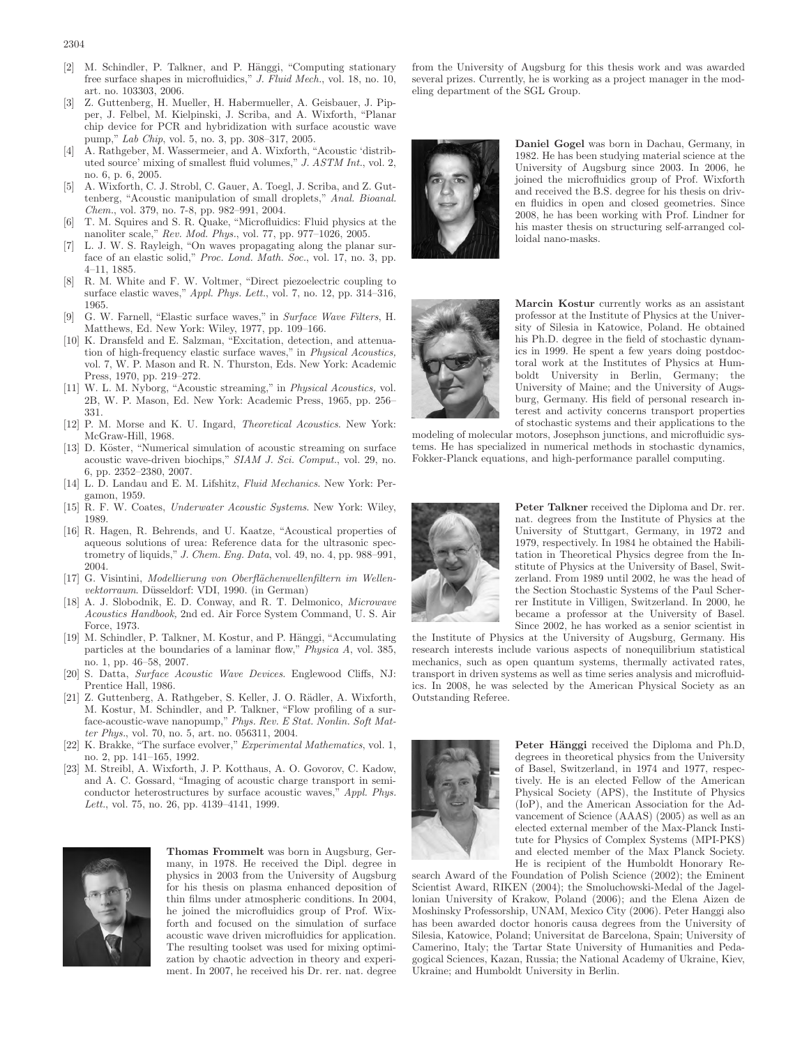- [2] M. schindler, P. Talkner, and P. Hänggi, "computing stationary free surface shapes in microfluidics," *J. Fluid Mech.*, vol. 18, no. 10, art. no. 103303, 2006.
- [3] Z. Guttenberg, H. Mueller, H. Habermueller, a. Geisbauer, J. Pipper, J. Felbel, M. Kielpinski, J. Scriba, and A. Wixforth, "Planar chip device for PCR and hybridization with surface acoustic wave pump," *Lab Chip*, vol. 5, no. 3, pp. 308–317, 2005.
- [4] A. Rathgeber, M. Wassermeier, and A. Wixforth, "Acoustic 'distributed source' mixing of smallest fluid volumes," *J. ASTM Int.*, vol. 2, no. 6, p. 6, 2005.
- [5] a. Wixforth, c. J. strobl, c. Gauer, a. Toegl, J. scriba, and Z. Guttenberg, "Acoustic manipulation of small droplets," Anal. Bioanal. *Chem.*, vol. 379, no. 7-8, pp. 982–991, 2004.
- [6] T. M. squires and s. r. quake, "Microfluidics: Fluid physics at the nanoliter scale," *Rev. Mod. Phys.*, vol. 77, pp. 977–1026, 2005.
- L. J. W. S. Rayleigh, "On waves propagating along the planar surface of an elastic solid," *Proc. Lond. Math. Soc.*, vol. 17, no. 3, pp. 4–11, 1885.
- [8] R. M. White and F. W. Voltmer, "Direct piezoelectric coupling to surface elastic waves," *Appl. Phys. Lett.*, vol. 7, no. 12, pp. 314–316, 1965.
- [9] G. W. Farnell, "Elastic surface waves," in *Surface Wave Filters*, H. Matthews, Ed. New York: Wiley, 1977, pp. 109–166.
- [10] K. Dransfeld and E. Salzman, "Excitation, detection, and attenuation of high-frequency elastic surface waves," in *Physical Acoustics,* vol. 7, W. P. Mason and R. N. Thurston, Eds. New York: Academic Press, 1970, pp. 219–272.
- [11] W. l. M. nyborg, "acoustic streaming," in *Physical Acoustics,* vol. 2b, W. P. Mason, Ed. new york: academic Press, 1965, pp. 256– 331.
- [12] P. M. Morse and K. U. Ingard, *Theoretical Acoustics*. New York: McGraw-Hill, 1968.
- [13] D. Köster, "Numerical simulation of acoustic streaming on surface acoustic wave-driven biochips," *SIAM J. Sci. Comput.*, vol. 29, no. 6, pp. 2352–2380, 2007.
- [14] L. D. Landau and E. M. Lifshitz, *Fluid Mechanics*. New York: Pergamon, 1959.
- [15] R. F. W. Coates, *Underwater Acoustic Systems*. New York: Wiley, 1989.
- [16] R. Hagen, R. Behrends, and U. Kaatze, "Acoustical properties of aqueous solutions of urea: Reference data for the ultrasonic spectrometry of liquids," *J. Chem. Eng. Data*, vol. 49, no. 4, pp. 988–991, 2004.
- [17] G. Visintini, *Modellierung von Oberflächenwellenfiltern im Wellenvektorraum.* Düsseldorf: VDI, 1990. (in German)
- [18] A. J. Slobodnik, E. D. Conway, and R. T. Delmonico, *Microwave Acoustics Handbook,* 2nd ed. air Force system command, U. s. air Force, 1973.
- [19] M. Schindler, P. Talkner, M. Kostur, and P. Hänggi, "Accumulating particles at the boundaries of a laminar flow," *Physica A*, vol. 385, no. 1, pp. 46–58, 2007.
- [20] S. Datta, *Surface Acoustic Wave Devices*. Englewood Cliffs, NJ: Prentice Hall, 1986.
- [21] Z. Guttenberg, A. Rathgeber, S. Keller, J. O. Rädler, A. Wixforth, M. Kostur, M. schindler, and P. Talkner, "Flow profiling of a surface-acoustic-wave nanopump," *Phys. Rev. E Stat. Nonlin. Soft Matter Phys.*, vol. 70, no. 5, art. no. 056311, 2004.
- [22] K. brakke, "The surface evolver," *Experimental Mathematics*, vol. 1, no. 2, pp. 141–165, 1992.
- [23] M. Streibl, A. Wixforth, J. P. Kotthaus, A. O. Govorov, C. Kadow, and a. c. Gossard, "Imaging of acoustic charge transport in semiconductor heterostructures by surface acoustic waves," *Appl. Phys. Lett.*, vol. 75, no. 26, pp. 4139–4141, 1999.



**Thomas Frommelt** was born in Augsburg, Germany, in 1978. He received the Dipl. degree in physics in 2003 from the University of augsburg for his thesis on plasma enhanced deposition of thin films under atmospheric conditions. In 2004, he joined the microfluidics group of Prof. Wixforth and focused on the simulation of surface acoustic wave driven microfluidics for application. The resulting toolset was used for mixing optimization by chaotic advection in theory and experiment. In 2007, he received his Dr. rer. nat. degree

from the University of Augsburg for this thesis work and was awarded several prizes. Currently, he is working as a project manager in the modeling department of the SGL Group.



**Daniel Gogel** was born in Dachau, Germany, in 1982. He has been studying material science at the University of Augsburg since 2003. In 2006, he joined the microfluidics group of Prof. Wixforth and received the B.S. degree for his thesis on driven fluidics in open and closed geometries. since 2008, he has been working with Prof. lindner for his master thesis on structuring self-arranged colloidal nano-masks.



**Marcin Kostur** currently works as an assistant professor at the Institute of Physics at the University of silesia in Katowice, Poland. He obtained his Ph.D. degree in the field of stochastic dynamics in 1999. He spent a few years doing postdoctoral work at the Institutes of Physics at Humboldt University in berlin, Germany; the University of Maine; and the University of Augsburg, Germany. His field of personal research interest and activity concerns transport properties of stochastic systems and their applications to the

modeling of molecular motors, Josephson junctions, and microfluidic systems. He has specialized in numerical methods in stochastic dynamics, Fokker-Planck equations, and high-performance parallel computing.



Peter Talkner received the Diploma and Dr. rer. nat. degrees from the Institute of Physics at the University of stuttgart, Germany, in 1972 and 1979, respectively. In 1984 he obtained the Habilitation in Theoretical Physics degree from the Institute of Physics at the University of Basel, Switzerland. From 1989 until 2002, he was the head of the Section Stochastic Systems of the Paul Scherrer Institute in Villigen, switzerland. In 2000, he became a professor at the University of basel. since 2002, he has worked as a senior scientist in

the Institute of Physics at the University of augsburg, Germany. His research interests include various aspects of nonequilibrium statistical mechanics, such as open quantum systems, thermally activated rates, transport in driven systems as well as time series analysis and microfluidics. In 2008, he was selected by the American Physical Society as an Outstanding Referee.



**Peter Hänggi** received the Diploma and Ph.D, degrees in theoretical physics from the University of basel, switzerland, in 1974 and 1977, respectively. He is an elected Fellow of the American Physical society (aPs), the Institute of Physics (IoP), and the American Association for the Advancement of Science (AAAS) (2005) as well as an elected external member of the Max-Planck Institute for Physics of complex systems (MPI-PKs) and elected member of the Max Planck Society. He is recipient of the Humboldt Honorary Re-

search Award of the Foundation of Polish Science (2002); the Eminent Scientist Award, RIKEN (2004); the Smoluchowski-Medal of the Jagellonian University of Krakow, Poland (2006); and the Elena aizen de Moshinsky Professorship, UNAM, Mexico City (2006). Peter Hanggi also has been awarded doctor honoris causa degrees from the University of silesia, Katowice, Poland; Universitat de barcelona, spain; University of camerino, Italy; the Tartar state University of Humanities and Pedagogical Sciences, Kazan, Russia; the National Academy of Ukraine, Kiev, Ukraine; and Humboldt University in berlin.